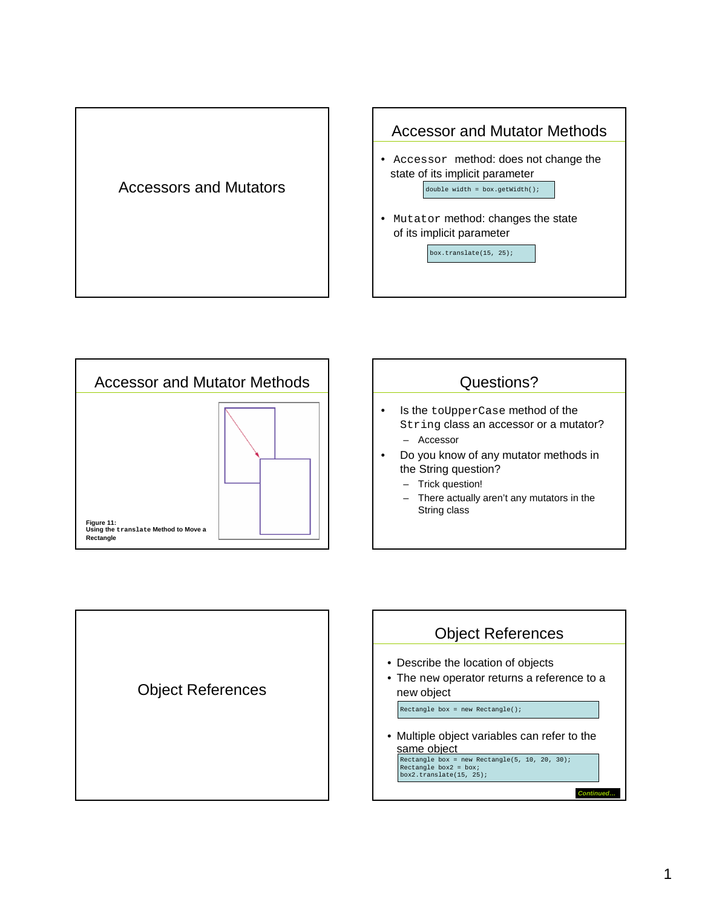